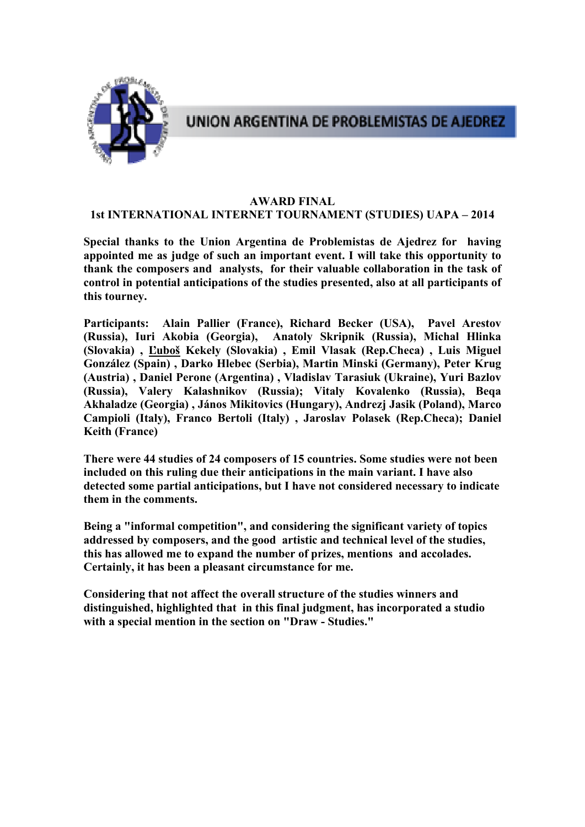

# UNION ARGENTINA DE PROBLEMISTAS DE AJEDREZ

### **AWARD FINAL**

### **1st INTERNATIONAL INTERNET TOURNAMENT (STUDIES) UAPA – 2014**

**Special thanks to the Union Argentina de Problemistas de Ajedrez for having appointed me as judge of such an important event. I will take this opportunity to thank the composers and analysts, for their valuable collaboration in the task of control in potential anticipations of the studies presented, also at all participants of this tourney.** 

**Participants: Alain Pallier (France), Richard Becker (USA), Pavel Arestov (Russia), Iuri Akobia (Georgia), Anatoly Skripnik (Russia), Michal Hlinka (Slovakia) , Ľuboš Kekely (Slovakia) , Emil Vlasak (Rep.Checa) , Luis Miguel González (Spain) , Darko Hlebec (Serbia), Martin Minski (Germany), Peter Krug (Austria) , Daniel Perone (Argentina) , Vladislav Tarasiuk (Ukraine), Yuri Bazlov (Russia), Valery Kalashnikov (Russia); Vitaly Kovalenko (Russia), Beqa Akhaladze (Georgia) , János Mikitovics (Hungary), Andrezj Jasik (Poland), Marco Campioli (Italy), Franco Bertoli (Italy) , Jaroslav Polasek (Rep.Checa); Daniel Keith (France)** 

**There were 44 studies of 24 composers of 15 countries. Some studies were not been included on this ruling due their anticipations in the main variant. I have also detected some partial anticipations, but I have not considered necessary to indicate them in the comments.** 

**Being a "informal competition", and considering the significant variety of topics addressed by composers, and the good artistic and technical level of the studies, this has allowed me to expand the number of prizes, mentions and accolades. Certainly, it has been a pleasant circumstance for me.** 

**Considering that not affect the overall structure of the studies winners and distinguished, highlighted that in this final judgment, has incorporated a studio with a special mention in the section on "Draw - Studies."**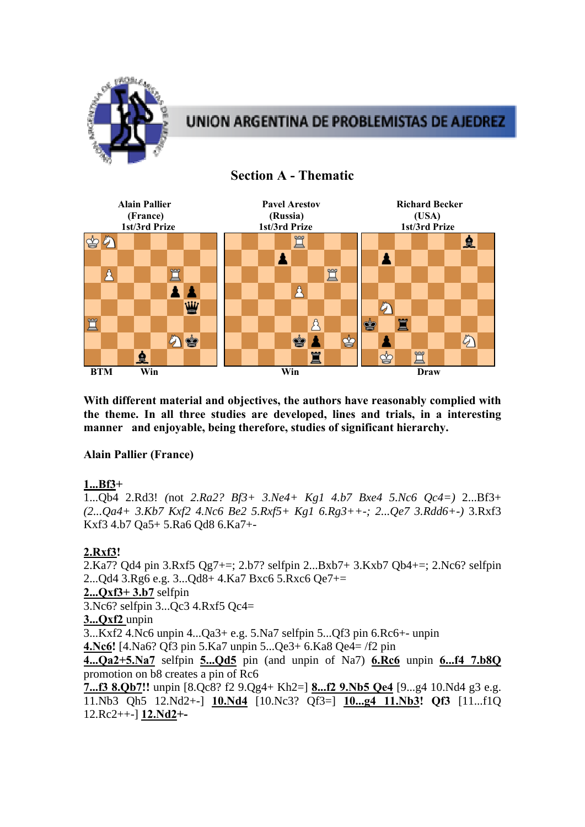

# UNION ARGENTINA DE PROBLEMISTAS DE AJEDREZ



# **Section A - Thematic**

**With different material and objectives, the authors have reasonably complied with the theme. In all three studies are developed, lines and trials, in a interesting manner and enjoyable, being therefore, studies of significant hierarchy.** 

### **Alain Pallier (France)**

### **1...Bf3+**

1...Qb4 2.Rd3! *(*not *2.Ra2? Bf3+ 3.Ne4+ Kg1 4.b7 Bxe4 5.Nc6 Qc4=)* 2...Bf3+ *(2...Qa4+ 3.Kb7 Kxf2 4.Nc6 Be2 5.Rxf5+ Kg1 6.Rg3++-; 2...Qe7 3.Rdd6+-)* 3.Rxf3 Kxf3 4.b7 Qa5+ 5.Ra6 Qd8 6.Ka7+-

### **2.Rxf3!**

2.Ka7? Qd4 pin 3.Rxf5 Qg7+=; 2.b7? selfpin 2...Bxb7+ 3.Kxb7 Qb4+=; 2.Nc6? selfpin 2...Qd4 3.Rg6 e.g. 3...Qd8+ 4.Ka7 Bxc6 5.Rxc6 Qe7+= **2...Qxf3+ 3.b7** selfpin 3.Nc6? selfpin 3...Qc3 4.Rxf5 Qc4= **3...Qxf2** unpin 3...Kxf2 4.Nc6 unpin 4...Qa3+ e.g. 5.Na7 selfpin 5...Qf3 pin 6.Rc6+- unpin **4.Nc6!** [4.Na6? Qf3 pin 5.Ka7 unpin 5...Qe3+ 6.Ka8 Qe4= /f2 pin

**4...Qa2+5.Na7** selfpin **5...Qd5** pin (and unpin of Na7) **6.Rc6** unpin **6...f4 7.b8Q** promotion on b8 creates a pin of Rc6

**7...f3 8.Qb7!!** unpin [8.Qc8? f2 9.Qg4+ Kh2=] **8...f2 9.Nb5 Qe4** [9...g4 10.Nd4 g3 e.g. 11.Nb3 Qh5 12.Nd2+-] **10.Nd4** [10.Nc3? Qf3=] **10...g4 11.Nb3! Qf3** [11...f1Q 12.Rc2++-] **12.Nd2+-**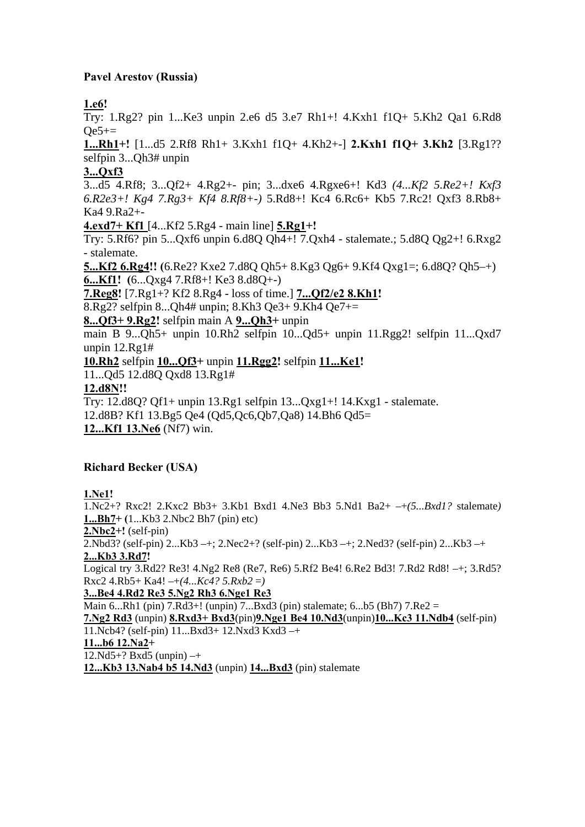## **Pavel Arestov (Russia)**

# **1.e6!**

Try: 1.Rg2? pin 1...Ke3 unpin 2.e6 d5 3.e7 Rh1+! 4.Kxh1 f1Q+ 5.Kh2 Qa1 6.Rd8  $Oe5+=$ 

**1...Rh1+!** [1...d5 2.Rf8 Rh1+ 3.Kxh1 f1Q+ 4.Kh2+-] **2.Kxh1 f1Q+ 3.Kh2** [3.Rg1?? selfpin 3...Qh3# unpin

### **3...Qxf3**

3...d5 4.Rf8; 3...Qf2+ 4.Rg2+- pin; 3...dxe6 4.Rgxe6+! Kd3 *(4...Kf2 5.Re2+! Kxf3 6.R2e3+! Kg4 7.Rg3+ Kf4 8.Rf8+-)* 5.Rd8+! Kc4 6.Rc6+ Kb5 7.Rc2! Qxf3 8.Rb8+ Ka4 9.Ra2+-

**4.exd7+ Kf1** [4...Kf2 5.Rg4 - main line] **5.Rg1+!** 

Try: 5.Rf6? pin 5...Qxf6 unpin 6.d8Q Qh4+! 7.Qxh4 - stalemate.; 5.d8Q Qg2+! 6.Rxg2 - stalemate.

**5...Kf2 6.Rg4!! (**6.Re2? Kxe2 7.d8Q Qh5+ 8.Kg3 Qg6+ 9.Kf4 Qxg1=; 6.d8Q? Qh5–+) **6...Kf1! (**6...Qxg4 7.Rf8+! Ke3 8.d8Q+-)

**7.Reg8!** [7.Rg1+? Kf2 8.Rg4 - loss of time.] **7...Qf2/e2 8.Kh1!** 

8.Rg2? selfpin 8...Oh4# unpin; 8.Kh3 Oe3+ 9.Kh4 Oe7+=

**8...Qf3+ 9.Rg2!** selfpin main A **9...Qh3+** unpin

main B 9...Qh5+ unpin 10.Rh2 selfpin 10...Qd5+ unpin 11.Rgg2! selfpin 11...Qxd7 unpin 12.Rg1#

**10.Rh2** selfpin **10...Qf3+** unpin **11.Rgg2!** selfpin **11...Ke1!** 

11...Qd5 12.d8Q Qxd8 13.Rg1#

### **12.d8N!!**

Try: 12.d8Q? Qf1+ unpin 13.Rg1 selfpin 13...Qxg1+! 14.Kxg1 - stalemate.

12.d8B? Kf1 13.Bg5 Qe4 (Qd5,Qc6,Qb7,Qa8) 14.Bh6 Qd5=

**12...Kf1 13.Ne6** (Nf7) win.

# **Richard Becker (USA)**

**1.Ne1!** 

1.Nc2+? Rxc2! 2.Kxc2 Bb3+ 3.Kb1 Bxd1 4.Ne3 Bb3 5.Nd1 Ba2+ –+*(5...Bxd1?* stalemate*)* **1...Bh7+ (**1...Kb3 2.Nbc2 Bh7 (pin) etc) **2.Nbc2+!** (self-pin) 2.Nbd3? (self-pin) 2...Kb3 –+; 2.Nec2+? (self-pin) 2...Kb3 –+; 2.Ned3? (self-pin) 2...Kb3 –+ **2...Kb3 3.Rd7!**  Logical try 3.Rd2? Re3! 4.Ng2 Re8 (Re7, Re6) 5.Rf2 Be4! 6.Re2 Bd3! 7.Rd2 Rd8! –+; 3.Rd5?  $Rxc2$  4. $Rb5+Ka4!$  –+ $(4...Kc4?$  5. $Rxb2 =$ ) **3...Be4 4.Rd2 Re3 5.Ng2 Rh3 6.Nge1 Re3**  Main 6...Rh1 (pin) 7.Rd3+! (unpin) 7...Bxd3 (pin) stalemate; 6...b5 (Bh7) 7.Re2 = **7.Ng2 Rd3** (unpin) **8.Rxd3+ Bxd3**(pin)**9.Nge1 Be4 10.Nd3**(unpin)**10...Kc3 11.Ndb4** (self-pin) 11.Ncb4? (self-pin) 11...Bxd3+ 12.Nxd3 Kxd3 –+ **11...b6 12.Na2+**   $12.Nd5+? Bxd5$  (unpin)  $-+$ **12...Kb3 13.Nab4 b5 14.Nd3** (unpin) **14...Bxd3** (pin) stalemate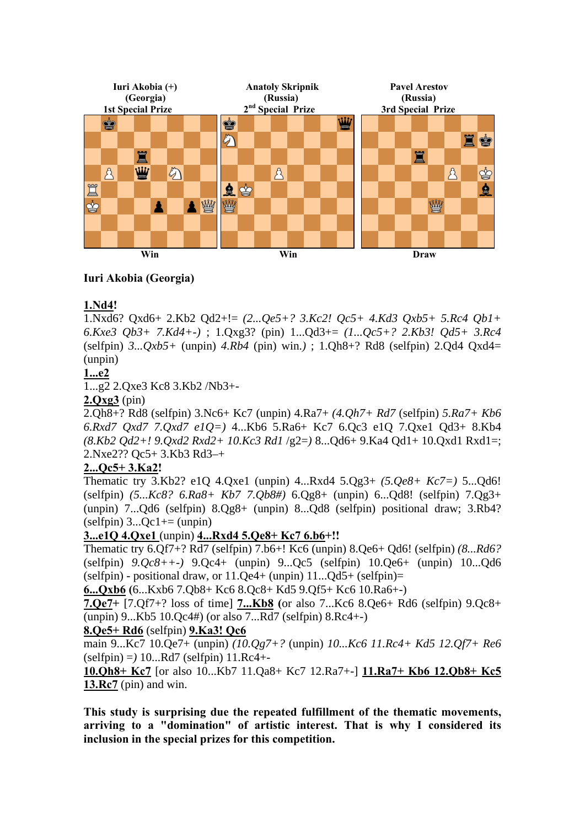

### **Iuri Akobia (Georgia)**

### **1.Nd4!**

1.Nxd6? Qxd6+ 2.Kb2 Qd2+!= *(2...Qe5+? 3.Kc2! Qc5+ 4.Kd3 Qxb5+ 5.Rc4 Qb1+ 6.Kxe3 Qb3+ 7.Kd4+-)* ; 1.Qxg3? (pin) 1...Qd3+= *(1...Qc5+? 2.Kb3! Qd5+ 3.Rc4*  (selfpin) *3...Qxb5+* (unpin) *4.Rb4* (pin) win.*)* ; 1.Qh8+? Rd8 (selfpin) 2.Qd4 Qxd4= (unpin)

### **1...e2**

1...g2 2.Qxe3 Kc8 3.Kb2 /Nb3+-

**2.Qxg3** (pin)

2.Qh8+? Rd8 (selfpin) 3.Nc6+ Kc7 (unpin) 4.Ra7+ *(4.Qh7+ Rd7* (selfpin) *5.Ra7+ Kb6 6.Rxd7 Qxd7 7.Qxd7 e1Q=)* 4...Kb6 5.Ra6+ Kc7 6.Qc3 e1Q 7.Qxe1 Qd3+ 8.Kb4 *(8.Kb2 Qd2+! 9.Qxd2 Rxd2+ 10.Kc3 Rd1* /g2=*)* 8...Qd6+ 9.Ka4 Qd1+ 10.Qxd1 Rxd1=; 2.Nxe2?? Qc5+ 3.Kb3 Rd3–+

### **2...Qc5+ 3.Ka2!**

Thematic try 3.Kb2? e1Q 4.Qxe1 (unpin) 4...Rxd4 5.Qg3+ *(5.Qe8+ Kc7=)* 5...Qd6! (selfpin) *(5...Kc8? 6.Ra8+ Kb7 7.Qb8#)* 6.Qg8+ (unpin) 6...Qd8! (selfpin) 7.Qg3+ (unpin) 7...Qd6 (selfpin) 8.Qg8+ (unpin) 8...Qd8 (selfpin) positional draw; 3.Rb4?  $(selfpin)$  3... $Oc1 += (unpin)$ 

### **3...e1Q 4.Qxe1** (unpin) **4...Rxd4 5.Qe8+ Kc7 6.b6+!!**

Thematic try 6.Qf7+? Rd7 (selfpin) 7.b6+! Kc6 (unpin) 8.Qe6+ Qd6! (selfpin) *(8...Rd6?*  (selfpin) *9.Qc8++-)* 9.Qc4+ (unpin) 9...Qc5 (selfpin) 10.Qe6+ (unpin) 10...Qd6 (selfpin) - positional draw, or  $11.$  Qe4+ (unpin)  $11...$  Qd5+ (selfpin)=

**6...Qxb6 (**6...Kxb6 7.Qb8+ Kc6 8.Qc8+ Kd5 9.Qf5+ Kc6 10.Ra6+-)

**7.Qe7+** [7.Qf7+? loss of time] **7...Kb8 (**or also 7...Kc6 8.Qe6+ Rd6 (selfpin) 9.Qc8+ (unpin) 9...Kb5 10.Qc4#) (or also 7...Rd7 (selfpin) 8.Rc4+-)

### **8.Qe5+ Rd6** (selfpin) **9.Ka3! Qc6**

main 9...Kc7 10.Qe7+ (unpin) *(10.Qg7+?* (unpin) *10...Kc6 11.Rc4+ Kd5 12.Qf7+ Re6*  (selfpin) =*)* 10...Rd7 (selfpin) 11.Rc4+-

**10.Qh8+ Kc7** [or also 10...Kb7 11.Qa8+ Kc7 12.Ra7+-] **11.Ra7+ Kb6 12.Qb8+ Kc5 13.Rc7** (pin) and win.

**This study is surprising due the repeated fulfillment of the thematic movements, arriving to a "domination" of artistic interest. That is why I considered its inclusion in the special prizes for this competition.**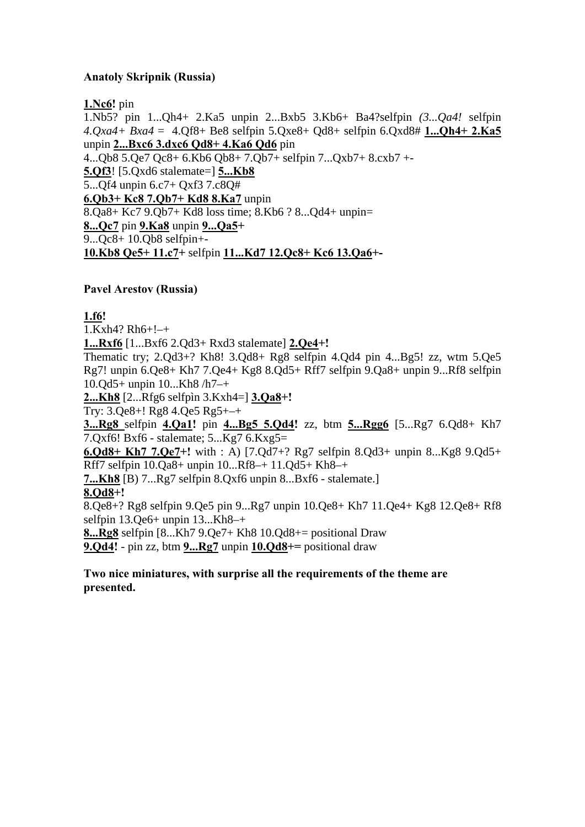## **Anatoly Skripnik (Russia)**

**1.Nc6!** pin

1.Nb5? pin 1...Qh4+ 2.Ka5 unpin 2...Bxb5 3.Kb6+ Ba4?selfpin *(3...Qa4!* selfpin *4.Qxa4+ Bxa4* = 4.Qf8+ Be8 selfpin 5.Qxe8+ Qd8+ selfpin 6.Qxd8# **1...Qh4+ 2.Ka5**  unpin **2...Bxc6 3.dxc6 Qd8+ 4.Ka6 Qd6** pin 4...Qb8 5.Qe7 Qc8+ 6.Kb6 Qb8+ 7.Qb7+ selfpin 7...Qxb7+ 8.cxb7 +- **5.Qf3**! [5.Qxd6 stalemate=] **5...Kb8**  5...Qf4 unpin 6.c7+ Qxf3 7.c8Q# **6.Qb3+ Kc8 7.Qb7+ Kd8 8.Ka7** unpin 8.Qa8+ Kc7 9.Qb7+ Kd8 loss time; 8.Kb6 ? 8...Qd4+ unpin= **8...Qc7** pin **9.Ka8** unpin **9...Qa5+**  9...Qc8+ 10.Qb8 selfpin+- **10.Kb8 Qe5+ 11.c7+** selfpin **11...Kd7 12.Qc8+ Kc6 13.Qa6+-** 

### **Pavel Arestov (Russia)**

**1.f6!** 

1.Kxh4? Rh6+!–+

**1...Rxf6** [1...Bxf6 2.Qd3+ Rxd3 stalemate] **2.Qe4+!** 

Thematic try; 2.Qd3+? Kh8! 3.Qd8+ Rg8 selfpin 4.Qd4 pin 4...Bg5! zz, wtm 5.Qe5 Rg7! unpin 6.Qe8+ Kh7 7.Qe4+ Kg8 8.Qd5+ Rff7 selfpin 9.Qa8+ unpin 9...Rf8 selfpin 10.Qd5+ unpin 10...Kh8 /h7–+

**2...Kh8** [2...Rfg6 selfpìn 3.Kxh4=] **3.Qa8+!** 

Try: 3.Qe8+! Rg8 4.Qe5 Rg5+–+

**3...Rg8** selfpin **4.Qa1!** pin **4...Bg5 5.Qd4!** zz, btm **5...Rgg6** [5...Rg7 6.Qd8+ Kh7 7.Qxf6! Bxf6 - stalemate; 5...Kg7 6.Kxg5=

**6.Qd8+ Kh7 7.Qe7+!** with : A) [7.Qd7+? Rg7 selfpin 8.Qd3+ unpin 8...Kg8 9.Qd5+ Rff7 selfpin 10.Qa8+ unpin 10...Rf8–+ 11.Qd5+ Kh8–+

**7...Kh8** [B) 7...Rg7 selfpin 8.Qxf6 unpin 8...Bxf6 - stalemate.]

**8.Qd8+!** 

8.Qe8+? Rg8 selfpin 9.Qe5 pin 9...Rg7 unpin 10.Qe8+ Kh7 11.Qe4+ Kg8 12.Qe8+ Rf8 selfpin 13.Qe6+ unpin 13...Kh8–+

**8...Rg8** selfpin [8...Kh7 9.Qe7+ Kh8 10.Qd8+= positional Draw

**9.Qd4!** - pin zz, btm **9...Rg7** unpin **10.Qd8+=** positional draw

**Two nice miniatures, with surprise all the requirements of the theme are presented.**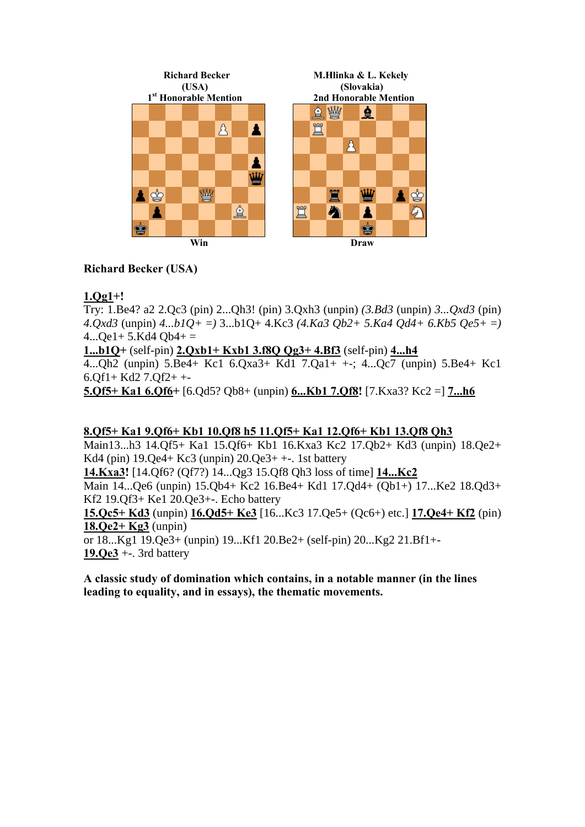

# **Richard Becker (USA)**

# **1.Qg1+!**

Try: 1.Be4? a2 2.Qc3 (pin) 2...Qh3! (pin) 3.Qxh3 (unpin) *(3.Bd3* (unpin) *3...Qxd3* (pin) *4.Qxd3* (unpin) *4...b1Q+* =*)* 3...b1Q+ 4.Kc3 *(4.Ka3 Qb2+ 5.Ka4 Qd4+ 6.Kb5 Qe5+* =*)*   $4...$ Qe1+ 5.Kd4 Qb4+ =

### **1...b1Q+** (self-pin) **2.Qxb1+ Kxb1 3.f8Q Qg3+ 4.Bf3** (self-pin) **4...h4**

 $\overline{4...0h2}$  (unpin) 5.Be4+ Kc1 6.Qxa3+ Kd1 7.Qa1+ +-;  $\overline{4...0c7}$  (unpin) 5.Be4+ Kc1 6.Qf1+ Kd2 7.Qf2+ +-

**5.Qf5+ Ka1 6.Qf6+** [6.Qd5? Qb8+ (unpin) **6...Kb1 7.Qf8!** [7.Kxa3? Kc2 =] **7...h6** 

### **8.Qf5+ Ka1 9.Qf6+ Kb1 10.Qf8 h5 11.Qf5+ Ka1 12.Qf6+ Kb1 13.Qf8 Qh3**

Main13...h3 14.Qf5+ Ka1 15.Qf6+ Kb1 16.Kxa3 Kc2 17.Qb2+ Kd3 (unpin) 18.Qe2+ Kd4 (pin)  $19.0e^{4}$  Kc3 (unpin)  $20.0e^{3}$  + +  $\cdot$  1st battery **14.Kxa3!** [14.Qf6? (Qf7?) 14...Qg3 15.Qf8 Qh3 loss of time] **14...Kc2**  Main 14...Qe6 (unpin) 15.Qb4+ Kc2 16.Be4+ Kd1 17.Qd4+ (Qb1+) 17...Ke2 18.Qd3+ Kf2 19.Qf3+ Ke1 20.Qe3+-. Echo battery **15.Qc5+ Kd3** (unpin) **16.Qd5+ Ke3** [16...Kc3 17.Qe5+ (Qc6+) etc.] **17.Qe4+ Kf2** (pin) **18.Qe2+ Kg3** (unpin) or 18...Kg1 19.Qe3+ (unpin) 19...Kf1 20.Be2+ (self-pin) 20...Kg2 21.Bf1+-

**19.Qe3** +-. 3rd battery

**A classic study of domination which contains, in a notable manner (in the lines leading to equality, and in essays), the thematic movements.**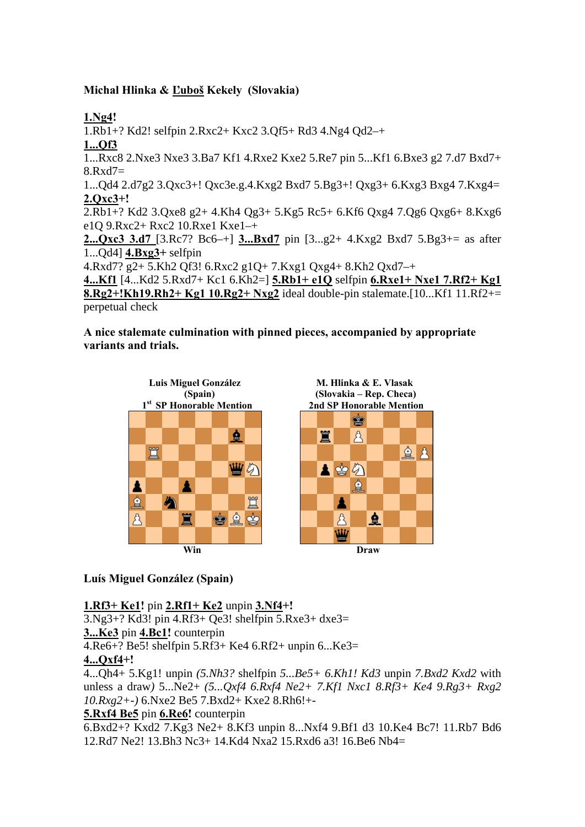## **Michal Hlinka & Ľuboš Kekely (Slovakia)**

**1.Ng4!**  1.Rb1+? Kd2! selfpin 2.Rxc2+ Kxc2 3.Qf5+ Rd3 4.Ng4 Qd2–+ **1...Qf3**  1...Rxc8 2.Nxe3 Nxe3 3.Ba7 Kf1 4.Rxe2 Kxe2 5.Re7 pin 5...Kf1 6.Bxe3 g2 7.d7 Bxd7+ 8.Rxd7= 1...Qd4 2.d7g2 3.Qxc3+! Qxc3e.g.4.Kxg2 Bxd7 5.Bg3+! Qxg3+ 6.Kxg3 Bxg4 7.Kxg4= **2.Qxc3+!**  2.Rb1+? Kd2 3.Qxe8 g2+ 4.Kh4 Qg3+ 5.Kg5 Rc5+ 6.Kf6 Qxg4 7.Qg6 Qxg6+ 8.Kxg6 e1Q 9.Rxc2+ Rxc2 10.Rxe1 Kxe1–+ **2...Qxc3 3.d7** [3.Rc7? Bc6–+] **3...Bxd7** pin [3...g2+ 4.Kxg2 Bxd7 5.Bg3+= as after 1...Qd4] **4.Bxg3+** selfpin 4.Rxd7? g2+ 5.Kh2 Qf3! 6.Rxc2 g1Q+ 7.Kxg1 Qxg4+ 8.Kh2 Qxd7–+ **4...Kf1** [4...Kd2 5.Rxd7+ Kc1 6.Kh2=] **5.Rb1+ e1Q** selfpin **6.Rxe1+ Nxe1 7.Rf2+ Kg1 8.Rg2+!Kh19.Rh2+ Kg1 10.Rg2+ Nxg2** ideal double-pin stalemate.[10...Kf1 11.Rf2+= perpetual check

**A nice stalemate culmination with pinned pieces, accompanied by appropriate variants and trials.** 



### **Luís Miguel González (Spain)**

**1.Rf3+ Ke1!** pin **2.Rf1+ Ke2** unpin **3.Nf4+!** 

3.Ng3+? Kd3! pin 4.Rf3+ Qe3! shelfpin 5.Rxe3+ dxe3=

**3...Ke3** pin **4.Bc1!** counterpin

4.Re6+? Be5! shelfpin 5.Rf3+ Ke4 6.Rf2+ unpin 6...Ke3=

### **4...Qxf4+!**

4...Qh4+ 5.Kg1! unpin *(5.Nh3?* shelfpin *5...Be5+ 6.Kh1! Kd3* unpin *7.Bxd2 Kxd2* with unless a draw*)* 5...Ne2+ *(5...Qxf4 6.Rxf4 Ne2+ 7.Kf1 Nxc1 8.Rf3+ Ke4 9.Rg3+ Rxg2 10.Rxg2+-)* 6.Nxe2 Be5 7.Bxd2+ Kxe2 8.Rh6!+-

### **5.Rxf4 Be5** pin **6.Re6!** counterpin

6.Bxd2+? Kxd2 7.Kg3 Ne2+ 8.Kf3 unpin 8...Nxf4 9.Bf1 d3 10.Ke4 Bc7! 11.Rb7 Bd6 12.Rd7 Ne2! 13.Bh3 Nc3+ 14.Kd4 Nxa2 15.Rxd6 a3! 16.Be6 Nb4=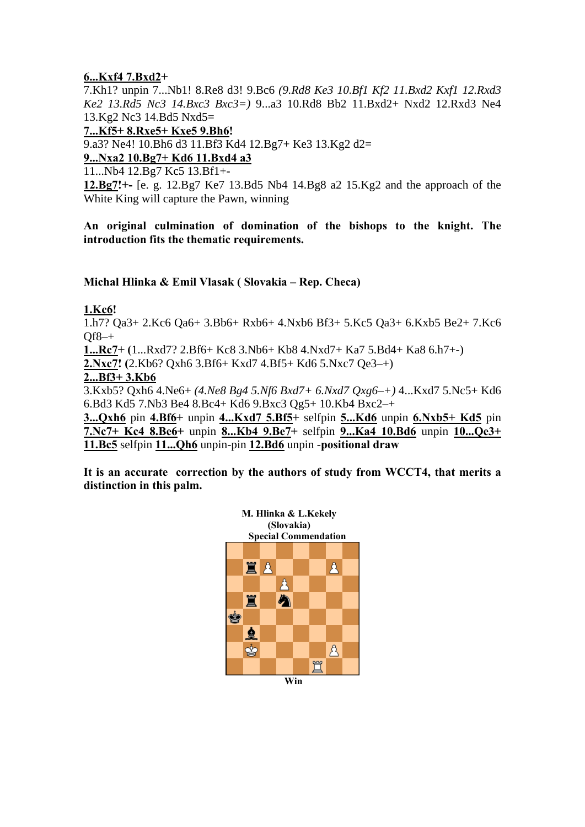### **6...Kxf4 7.Bxd2+**

7.Kh1? unpin 7...Nb1! 8.Re8 d3! 9.Bc6 *(9.Rd8 Ke3 10.Bf1 Kf2 11.Bxd2 Kxf1 12.Rxd3 Ke2 13.Rd5 Nc3 14.Bxc3 Bxc3=)* 9...a3 10.Rd8 Bb2 11.Bxd2+ Nxd2 12.Rxd3 Ne4 13.Kg2 Nc3 14.Bd5 Nxd5=

**7...Kf5+ 8.Rxe5+ Kxe5 9.Bh6!** 

9.a3? Ne4! 10.Bh6 d3 11.Bf3 Kd4 12.Bg7+ Ke3 13.Kg2 d2=

### **9...Nxa2 10.Bg7+ Kd6 11.Bxd4 a3**

11...Nb4 12.Bg7 Kc5 13.Bf1+-

**12.Bg7!+-** [e. g. 12.Bg7 Ke7 13.Bd5 Nb4 14.Bg8 a2 15.Kg2 and the approach of the White King will capture the Pawn, winning

**An original culmination of domination of the bishops to the knight. The introduction fits the thematic requirements.** 

### **Michal Hlinka & Emil Vlasak ( Slovakia – Rep. Checa)**

### **1.Kc6!**

1.h7? Qa3+ 2.Kc6 Qa6+ 3.Bb6+ Rxb6+ 4.Nxb6 Bf3+ 5.Kc5 Qa3+ 6.Kxb5 Be2+ 7.Kc6  $Of8-+$ 

**1...Rc7+ (**1...Rxd7? 2.Bf6+ Kc8 3.Nb6+ Kb8 4.Nxd7+ Ka7 5.Bd4+ Ka8 6.h7+-)

**2.Nxc7! (**2.Kb6? Qxh6 3.Bf6+ Kxd7 4.Bf5+ Kd6 5.Nxc7 Qe3–+)

#### **2...Bf3+ 3.Kb6**

3.Kxb5? Qxh6 4.Ne6+ *(4.Ne8 Bg4 5.Nf6 Bxd7+ 6.Nxd7 Qxg6–+)* 4...Kxd7 5.Nc5+ Kd6 6.Bd3 Kd5 7.Nb3 Be4 8.Bc4+ Kd6 9.Bxc3 Qg5+ 10.Kb4 Bxc2–+

**3...Qxh6** pin **4.Bf6+** unpin **4...Kxd7 5.Bf5+** selfpin **5...Kd6** unpin **6.Nxb5+ Kd5** pin **7.Nc7+ Kc4 8.Be6+** unpin **8...Kb4 9.Be7+** selfpin **9...Ka4 10.Bd6** unpin **10...Qe3+ 11.Bc5** selfpin **11...Qh6** unpin-pin **12.Bd6** unpin -**positional draw** 

**It is an accurate correction by the authors of study from WCCT4, that merits a distinction in this palm.** 

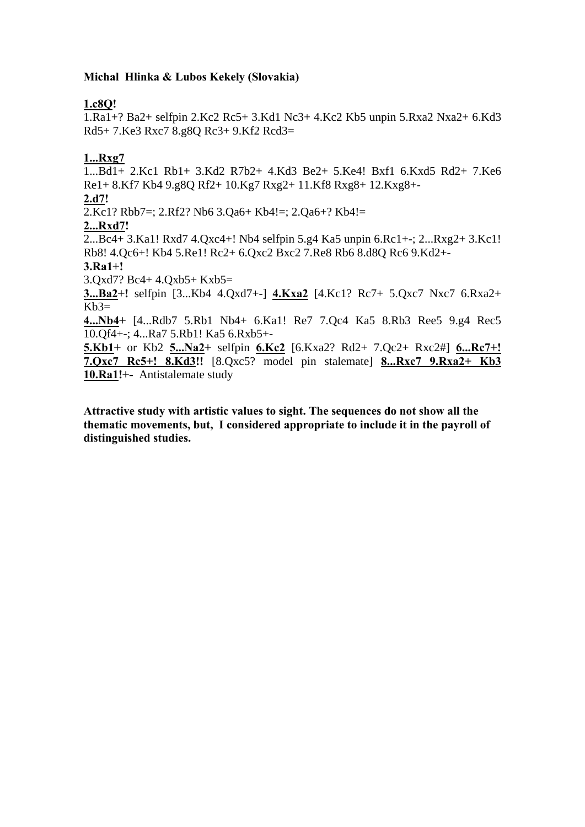### **Michal Hlinka & Lubos Kekely (Slovakia)**

# **1.c8Q!**

1.Ra1+? Ba2+ selfpin 2.Kc2 Rc5+ 3.Kd1 Nc3+ 4.Kc2 Kb5 unpin 5.Rxa2 Nxa2+ 6.Kd3 Rd5+ 7.Ke3 Rxc7 8.g8Q Rc3+ 9.Kf2 Rcd3=

# **1...Rxg7**

1...Bd1+ 2.Kc1 Rb1+ 3.Kd2 R7b2+ 4.Kd3 Be2+ 5.Ke4! Bxf1 6.Kxd5 Rd2+ 7.Ke6 Re1+ 8.Kf7 Kb4 9.g8Q Rf2+ 10.Kg7 Rxg2+ 11.Kf8 Rxg8+ 12.Kxg8+- **2.d7!**  2.Kc1? Rbb7=; 2.Rf2? Nb6 3.Qa6+ Kb4!=; 2.Qa6+? Kb4!= **2...Rxd7!**  2...Bc4+ 3.Ka1! Rxd7 4.Qxc4+! Nb4 selfpin 5.g4 Ka5 unpin 6.Rc1+-; 2...Rxg2+ 3.Kc1! Rb8! 4.Qc6+! Kb4 5.Re1! Rc2+ 6.Qxc2 Bxc2 7.Re8 Rb6 8.d8Q Rc6 9.Kd2+- **3.Ra1+!**  3.Qxd7? Bc4+ 4.Qxb5+ Kxb5= **3...Ba2+!** selfpin [3...Kb4 4.Qxd7+-] **4.Kxa2** [4.Kc1? Rc7+ 5.Qxc7 Nxc7 6.Rxa2+  $Kb3=$ **4...Nb4+** [4...Rdb7 5.Rb1 Nb4+ 6.Ka1! Re7 7.Qc4 Ka5 8.Rb3 Ree5 9.g4 Rec5 10.Qf4+-; 4...Ra7 5.Rb1! Ka5 6.Rxb5+- **5.Kb1+** or Kb2 **5...Na2+** selfpin **6.Kc2** [6.Kxa2? Rd2+ 7.Qc2+ Rxc2#] **6...Rc7+! 7.Qxc7 Rc5+! 8.Kd3!!** [8.Qxc5? model pin stalemate] **8...Rxc7 9.Rxa2+ Kb3 10.Ra1!+-** Antistalemate study

**Attractive study with artistic values to sight. The sequences do not show all the thematic movements, but, I considered appropriate to include it in the payroll of distinguished studies.**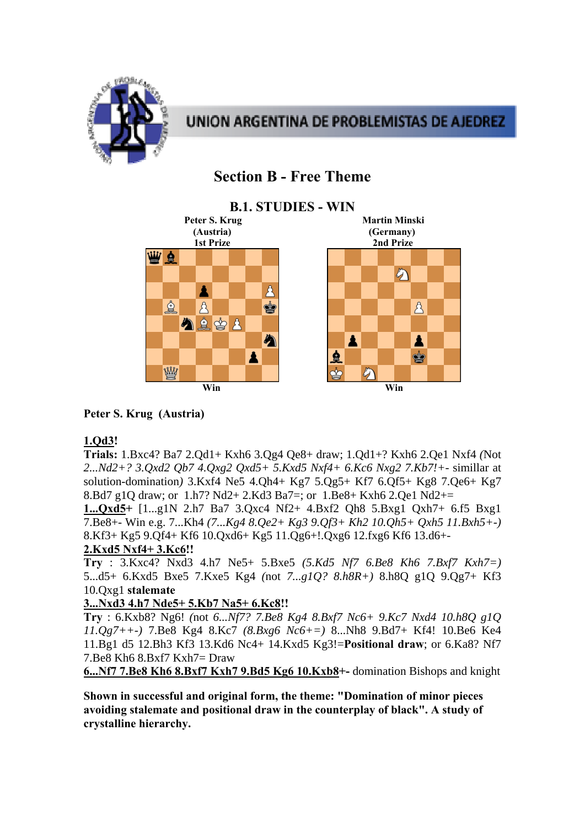

# UNION ARGENTINA DE PROBLEMISTAS DE AJEDREZ

# **Section B - Free Theme**

#### **B.1. STUDIES - WIN Peter S. Krug Martin Minski (Austria) (Germany) 2nd Prize** <u>W è</u> め A Å ☝  $\mathcal{B}_{\mathcal{A}}$ ė A 公主的人 今 A Å 鱼 Ý Å **Example 2 Win** Win Win Win Win 2 Win 2 Win 2 Win 2 Win 2 Win 2 Win 2 Win 2 Win 2 Win 2 Win 2 Win 2 Win 2 Win 2 Win 2 Win 2 Win 2 Win 2 Win 2 Win 2 Win 2 Win 2 Win 2 Win 2 Win 2 Win 2 Win 2 Win 2 Win 2 Win 2 Win 2 Win 2 W

# **Peter S. Krug (Austria)**

# **1.Qd3!**

**Trials:** 1.Bxc4? Ba7 2.Qd1+ Kxh6 3.Qg4 Qe8+ draw; 1.Qd1+? Kxh6 2.Qe1 Nxf4 *(*Not *2...Nd2+? 3.Qxd2 Qb7 4.Qxg2 Qxd5+ 5.Kxd5 Nxf4+ 6.Kc6 Nxg2 7.Kb7!+-* simillar at solution-domination*)* 3.Kxf4 Ne5 4.Qh4+ Kg7 5.Qg5+ Kf7 6.Qf5+ Kg8 7.Qe6+ Kg7 8.Bd7 g1Q draw; or 1.h7? Nd2+ 2.Kd3 Ba7=; or 1.Be8+ Kxh6 2.Qe1 Nd2+=

**1...Qxd5+** [1...g1N 2.h7 Ba7 3.Qxc4 Nf2+ 4.Bxf2 Qh8 5.Bxg1 Qxh7+ 6.f5 Bxg1 7.Be8+- Win e.g. 7...Kh4 *(7...Kg4 8.Qe2+ Kg3 9.Qf3+ Kh2 10.Qh5+ Qxh5 11.Bxh5+-)*  8.Kf3+ Kg5 9.Qf4+ Kf6 10.Qxd6+ Kg5 11.Qg6+!.Qxg6 12.fxg6 Kf6 13.d6+-

### **2.Kxd5 Nxf4+ 3.Kc6!!**

**Try** : 3.Kxc4? Nxd3 4.h7 Ne5+ 5.Bxe5 *(5.Kd5 Nf7 6.Be8 Kh6 7.Bxf7 Kxh7=)*  5...d5+ 6.Kxd5 Bxe5 7.Kxe5 Kg4 *(*not *7...g1Q? 8.h8R+)* 8.h8Q g1Q 9.Qg7+ Kf3 10.Qxg1 **stalemate**

### **3...Nxd3 4.h7 Nde5+ 5.Kb7 Na5+ 6.Kc8!!**

**Try** : 6.Kxb8? Ng6! *(*not *6...Nf7? 7.Be8 Kg4 8.Bxf7 Nc6+ 9.Kc7 Nxd4 10.h8Q g1Q 11.Qg7++-)* 7.Be8 Kg4 8.Kc7 *(8.Bxg6 Nc6+=)* 8...Nh8 9.Bd7+ Kf4! 10.Be6 Ke4 11.Bg1 d5 12.Bh3 Kf3 13.Kd6 Nc4+ 14.Kxd5 Kg3!=**Positional draw**; or 6.Ka8? Nf7 7.Be8 Kh6 8.Bxf7 Kxh7= Draw

**6...Nf7 7.Be8 Kh6 8.Bxf7 Kxh7 9.Bd5 Kg6 10.Kxb8+-** domination Bishops and knight

**Shown in successful and original form, the theme: "Domination of minor pieces avoiding stalemate and positional draw in the counterplay of black". A study of crystalline hierarchy.**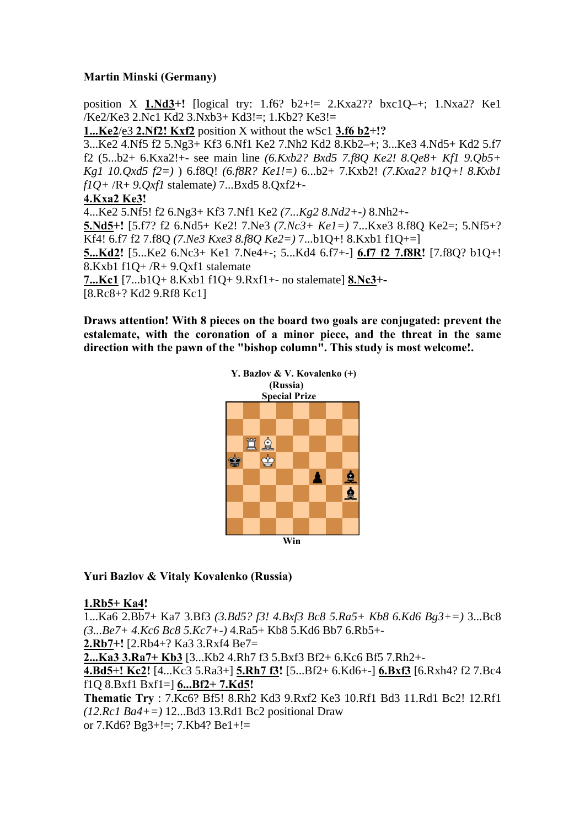### **Martin Minski (Germany)**

position X **1.Nd3+!** [logical try: 1.f6? b2+!= 2.Kxa2?? bxc1Q–+; 1.Nxa2? Ke1 /Ke2/Ke3 2.Nc1 Kd2 3.Nxb3+ Kd3!=; 1.Kb2? Ke3!=

**1...Ke2**/e3 **2.Nf2! Kxf2** position X without the wSc1 **3.f6 b2+!?** 

3...Ke2 4.Nf5 f2 5.Ng3+ Kf3 6.Nf1 Ke2 7.Nh2 Kd2 8.Kb2–+; 3...Ke3 4.Nd5+ Kd2 5.f7 f2 (5...b2+ 6.Kxa2!+- see main line *(6.Kxb2? Bxd5 7.f8Q Ke2! 8.Qe8+ Kf1 9.Qb5+ Kg1 10.Qxd5 f2=)* ) 6.f8Q! *(6.f8R? Ke1!=)* 6...b2+ 7.Kxb2! *(7.Kxa2? b1Q+! 8.Kxb1 f1Q+* /R+ *9.Qxf1* stalemate*)* 7...Bxd5 8.Qxf2+-

#### **4.Kxa2 Ke3!**

4...Ke2 5.Nf5! f2 6.Ng3+ Kf3 7.Nf1 Ke2 *(7...Kg2 8.Nd2+-)* 8.Nh2+- **5.Nd5+!** [5.f7? f2 6.Nd5+ Ke2! 7.Ne3 *(7.Nc3+ Ke1=)* 7...Kxe3 8.f8Q Ke2=; 5.Nf5+? Kf4! 6.f7 f2 7.f8Q *(7.Ne3 Kxe3 8.f8Q Ke2=)* 7...b1Q+! 8.Kxb1 f1Q+=] **5...Kd2!** [5...Ke2 6.Nc3+ Ke1 7.Ne4+-; 5...Kd4 6.f7+-] **6.f7 f2 7.f8R!** [7.f8Q? b1Q+! 8.Kxb1 f1Q+ /R+ 9.Qxf1 stalemate **7...Kc1** [7...b1Q+ 8.Kxb1 f1Q+ 9.Rxf1+- no stalemate] **8.Nc3+-** 

[8.Rc8+? Kd2 9.Rf8 Kc1]

**Draws attention! With 8 pieces on the board two goals are conjugated: prevent the estalemate, with the coronation of a minor piece, and the threat in the same direction with the pawn of the "bishop column". This study is most welcome!.** 



#### **Yuri Bazlov & Vitaly Kovalenko (Russia)**

#### **1.Rb5+ Ka4!**

1...Ka6 2.Bb7+ Ka7 3.Bf3 *(3.Bd5? f3! 4.Bxf3 Bc8 5.Ra5+ Kb8 6.Kd6 Bg3+=)* 3...Bc8 *(3...Be7+ 4.Kc6 Bc8 5.Kc7+-)* 4.Ra5+ Kb8 5.Kd6 Bb7 6.Rb5+- **2.Rb7+!** [2.Rb4+? Ka3 3.Rxf4 Be7= **2...Ka3 3.Ra7+ Kb3** [3...Kb2 4.Rh7 f3 5.Bxf3 Bf2+ 6.Kc6 Bf5 7.Rh2+- **4.Bd5+! Kc2!** [4...Kc3 5.Ra3+] **5.Rh7 f3!** [5...Bf2+ 6.Kd6+-] **6.Bxf3** [6.Rxh4? f2 7.Bc4 f1Q 8.Bxf1 Bxf1=] **6...Bf2+ 7.Kd5! Thematic Try** : 7.Kc6? Bf5! 8.Rh2 Kd3 9.Rxf2 Ke3 10.Rf1 Bd3 11.Rd1 Bc2! 12.Rf1 *(12.Rc1 Ba4+=)* 12...Bd3 13.Rd1 Bc2 positional Draw or 7.Kd6? Bg3+!=; 7.Kb4? Be1+!=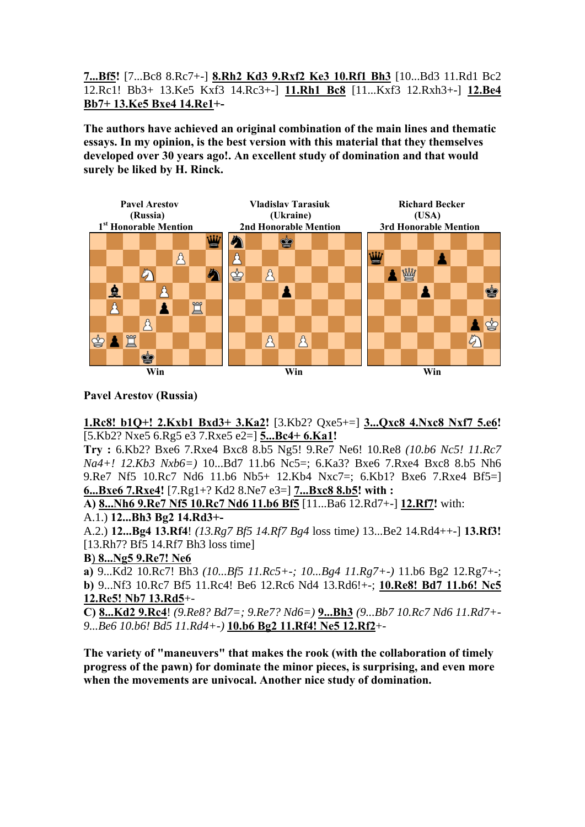**7...Bf5!** [7...Bc8 8.Rc7+-] **8.Rh2 Kd3 9.Rxf2 Ke3 10.Rf1 Bh3** [10...Bd3 11.Rd1 Bc2 12.Rc1! Bb3+ 13.Ke5 Kxf3 14.Rc3+-] **11.Rh1 Bc8** [11...Kxf3 12.Rxh3+-] **12.Be4 Bb7+ 13.Ke5 Bxe4 14.Re1+-** 

**The authors have achieved an original combination of the main lines and thematic essays. In my opinion, is the best version with this material that they themselves developed over 30 years ago!. An excellent study of domination and that would surely be liked by H. Rinck.** 



### **Pavel Arestov (Russia)**

**1.Rc8! b1Q+! 2.Kxb1 Bxd3+ 3.Ka2!** [3.Kb2? Qxe5+=] **3...Qxc8 4.Nxc8 Nxf7 5.e6!**  [5.Kb2? Nxe5 6.Rg5 e3 7.Rxe5 e2=] **5...Bc4+ 6.Ka1!** 

**Try :** 6.Kb2? Bxe6 7.Rxe4 Bxc8 8.b5 Ng5! 9.Re7 Ne6! 10.Re8 *(10.b6 Nc5! 11.Rc7 Na4+! 12.Kb3 Nxb6=)* 10...Bd7 11.b6 Nc5=; 6.Ka3? Bxe6 7.Rxe4 Bxc8 8.b5 Nh6 9.Re7 Nf5 10.Rc7 Nd6 11.b6 Nb5+ 12.Kb4 Nxc7=; 6.Kb1? Bxe6 7.Rxe4 Bf5=] **6...Bxe6 7.Rxe4!** [7.Rg1+? Kd2 8.Ne7 e3=] **7...Bxc8 8.b5! with :**

**A) 8...Nh6 9.Re7 Nf5 10.Rc7 Nd6 11.b6 Bf5** [11...Ba6 12.Rd7+-] **12.Rf7!** with:

### A.1.) **12...Bh3 Bg2 14.Rd3+-**

A.2.) **12...Bg4 13.Rf4**! *(13.Rg7 Bf5 14.Rf7 Bg4* loss time*)* 13...Be2 14.Rd4++-] **13.Rf3!**  [13.Rh7? Bf5 14.Rf7 Bh3 loss time]

**B**) **8...Ng5 9.Re7! Ne6**

**a)** 9...Kd2 10.Rc7! Bh3 *(10...Bf5 11.Rc5+-; 10...Bg4 11.Rg7+-)* 11.b6 Bg2 12.Rg7+-; **b)** 9...Nf3 10.Rc7 Bf5 11.Rc4! Be6 12.Rc6 Nd4 13.Rd6!+-; **10.Re8! Bd7 11.b6! Nc5 12.Re5! Nb7 13.Rd5**+-

**C) 8...Kd2 9.Rc4**! *(9.Re8? Bd7=; 9.Re7? Nd6=)* **9...Bh3** *(9...Bb7 10.Rc7 Nd6 11.Rd7+- 9...Be6 10.b6! Bd5 11.Rd4+-)* **10.b6 Bg2 11.Rf4! Ne5 12.Rf2**+-

**The variety of "maneuvers" that makes the rook (with the collaboration of timely progress of the pawn) for dominate the minor pieces, is surprising, and even more when the movements are univocal. Another nice study of domination.**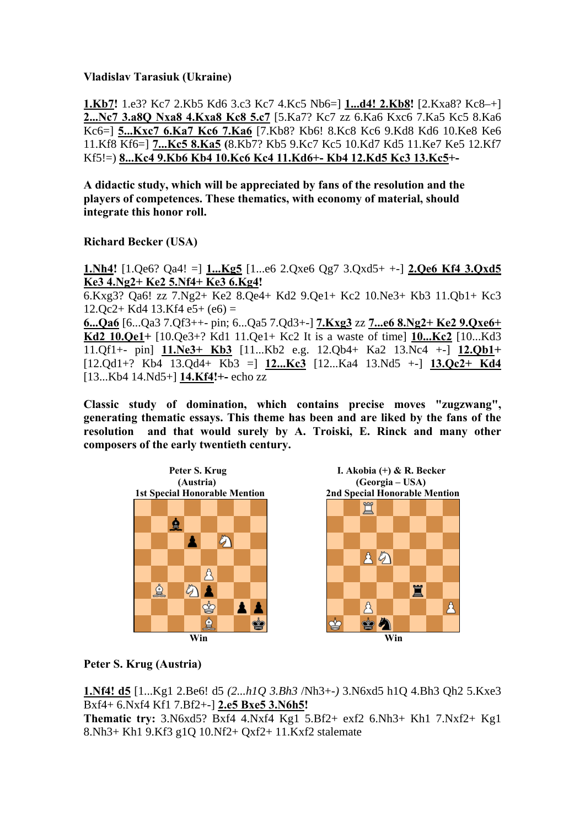**Vladislav Tarasiuk (Ukraine)** 

**1.Kb7!** 1.e3? Kc7 2.Kb5 Kd6 3.c3 Kc7 4.Kc5 Nb6=] **1...d4! 2.Kb8!** [2.Kxa8? Kc8–+] **2...Nc7 3.a8Q Nxa8 4.Kxa8 Kc8 5.c7** [5.Ka7? Kc7 zz 6.Ka6 Kxc6 7.Ka5 Kc5 8.Ka6 Kc6=] **5...Kxc7 6.Ka7 Kc6 7.Ka6** [7.Kb8? Kb6! 8.Kc8 Kc6 9.Kd8 Kd6 10.Ke8 Ke6 11.Kf8 Kf6=] **7...Kc5 8.Ka5 (**8.Kb7? Kb5 9.Kc7 Kc5 10.Kd7 Kd5 11.Ke7 Ke5 12.Kf7 Kf5!=) **8...Kc4 9.Kb6 Kb4 10.Kc6 Kc4 11.Kd6+- Kb4 12.Kd5 Kc3 13.Kc5+-** 

**A didactic study, which will be appreciated by fans of the resolution and the players of competences. These thematics, with economy of material, should integrate this honor roll.** 

**Richard Becker (USA)** 

**1.Nh4!** [1.Qe6? Qa4! =] **1...Kg5** [1...e6 2.Qxe6 Qg7 3.Qxd5+ +-] **2.Qe6 Kf4 3.Qxd5 Ke3 4.Ng2+ Ke2 5.Nf4+ Ke3 6.Kg4!**  6.Kxg3? Qa6! zz 7.Ng2+ Ke2 8.Qe4+ Kd2 9.Qe1+ Kc2 10.Ne3+ Kb3 11.Qb1+ Kc3

 $12.0c2+ Kd4$  13.Kf4 e5+ (e6) =

**6...Qa6** [6...Qa3 7.Qf3++- pin; 6...Qa5 7.Qd3+-] **7.Kxg3** zz **7...e6 8.Ng2+ Ke2 9.Qxe6+ Kd2 10.Qe1+** [10.Qe3+? Kd1 11.Qe1+ Kc2 It is a waste of time] **10...Kc2** [10...Kd3 11.Qf1+- pin] **11.Ne3+ Kb3** [11...Kb2 e.g. 12.Qb4+ Ka2 13.Nc4 +-] **12.Qb1+**  [12.Qd1+? Kb4 13.Qd4+ Kb3 =] **12...Kc3** [12...Ka4 13.Nd5 +-] **13.Qc2+ Kd4** [13...Kb4 14.Nd5+] **14.Kf4!+-** echo zz

**Classic study of domination, which contains precise moves "zugzwang", generating thematic essays. This theme has been and are liked by the fans of the resolution and that would surely by A. Troiski, E. Rinck and many other composers of the early twentieth century.** 



### **Peter S. Krug (Austria)**

**1.Nf4! d5** [1...Kg1 2.Be6! d5 *(2...h1Q 3.Bh3* /Nh3+-*)* 3.N6xd5 h1Q 4.Bh3 Qh2 5.Kxe3 Bxf4+ 6.Nxf4 Kf1 7.Bf2+-] **2.e5 Bxe5 3.N6h5! Thematic try:** 3.N6xd5? Bxf4 4.Nxf4 Kg1 5.Bf2+ exf2 6.Nh3+ Kh1 7.Nxf2+ Kg1 8.Nh3+ Kh1 9.Kf3 g1Q 10.Nf2+ Qxf2+ 11.Kxf2 stalemate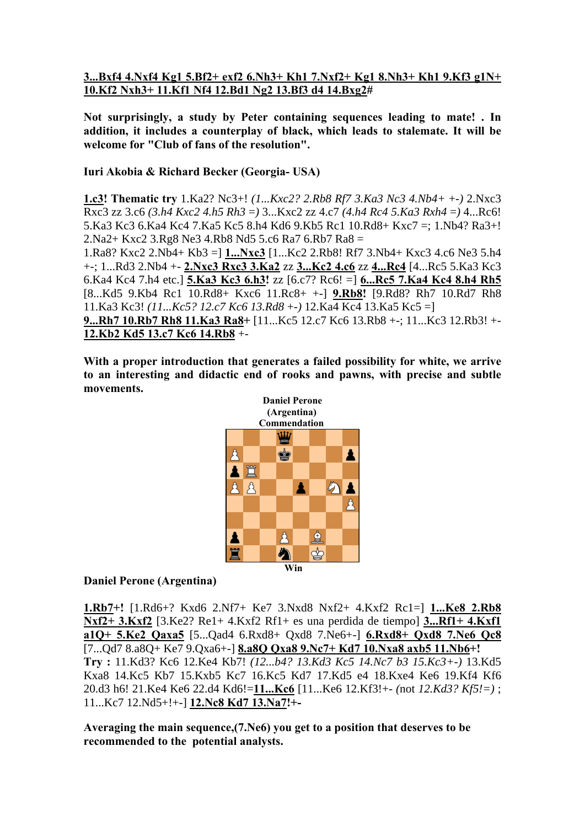### **3...Bxf4 4.Nxf4 Kg1 5.Bf2+ exf2 6.Nh3+ Kh1 7.Nxf2+ Kg1 8.Nh3+ Kh1 9.Kf3 g1N+ 10.Kf2 Nxh3+ 11.Kf1 Nf4 12.Bd1 Ng2 13.Bf3 d4 14.Bxg2#**

**Not surprisingly, a study by Peter containing sequences leading to mate! . In addition, it includes a counterplay of black, which leads to stalemate. It will be welcome for "Club of fans of the resolution".** 

### **Iuri Akobia & Richard Becker (Georgia- USA)**

**1.c3! Thematic try** 1.Ka2? Nc3+! *(1...Kxc2? 2.Rb8 Rf7 3.Ka3 Nc3 4.Nb4+* +-*)* 2.Nxc3 Rxc3 zz 3.c6 *(3.h4 Kxc2 4.h5 Rh3* =*)* 3...Kxc2 zz 4.c7 *(4.h4 Rc4 5.Ka3 Rxh4* =*)* 4...Rc6! 5.Ka3 Kc3 6.Ka4 Kc4 7.Ka5 Kc5 8.h4 Kd6 9.Kb5 Rc1 10.Rd8+ Kxc7 =; 1.Nb4? Ra3+! 2.Na2+ Kxc2 3.Rg8 Ne3 4.Rb8 Nd5 5.c6 Ra7 6.Rb7 Ra8 =

1.Ra8? Kxc2 2.Nb4+ Kb3 =] **1...Nxc3** [1...Kc2 2.Rb8! Rf7 3.Nb4+ Kxc3 4.c6 Ne3 5.h4 +-; 1...Rd3 2.Nb4 +- **2.Nxc3 Rxc3 3.Ka2** zz **3...Kc2 4.c6** zz **4...Rc4** [4...Rc5 5.Ka3 Kc3 6.Ka4 Kc4 7.h4 etc.] **5.Ka3 Kc3 6.h3!** zz [6.c7? Rc6! =] **6...Rc5 7.Ka4 Kc4 8.h4 Rh5** [8...Kd5 9.Kb4 Rc1 10.Rd8+ Kxc6 11.Rc8+ +-] **9.Rb8!** [9.Rd8? Rh7 10.Rd7 Rh8 11.Ka3 Kc3! *(11...Kc5? 12.c7 Kc6 13.Rd8* +-*)* 12.Ka4 Kc4 13.Ka5 Kc5 =]

**9...Rh7 10.Rb7 Rh8 11.Ka3 Ra8+** [11...Kc5 12.c7 Kc6 13.Rb8 +-; 11...Kc3 12.Rb3! +- **12.Kb2 Kd5 13.c7 Kc6 14.Rb8** +-

**With a proper introduction that generates a failed possibility for white, we arrive to an interesting and didactic end of rooks and pawns, with precise and subtle movements.** 



### **Daniel Perone (Argentina)**

**1.Rb7+!** [1.Rd6+? Kxd6 2.Nf7+ Ke7 3.Nxd8 Nxf2+ 4.Kxf2 Rc1=] **1...Ke8 2.Rb8 Nxf2+ 3.Kxf2** [3.Ke2? Re1+ 4.Kxf2 Rf1+ es una perdida de tiempo] **3...Rf1+ 4.Kxf1 a1Q+ 5.Ke2 Qaxa5** [5...Qad4 6.Rxd8+ Qxd8 7.Ne6+-] **6.Rxd8+ Qxd8 7.Ne6 Qc8** [7...Qd7 8.a8Q+ Ke7 9.Qxa6+-] **8.a8Q Qxa8 9.Nc7+ Kd7 10.Nxa8 axb5 11.Nb6+! Try :** 11.Kd3? Kc6 12.Ke4 Kb7! *(12...b4? 13.Kd3 Kc5 14.Nc7 b3 15.Kc3+-)* 13.Kd5 Kxa8 14.Kc5 Kb7 15.Kxb5 Kc7 16.Kc5 Kd7 17.Kd5 e4 18.Kxe4 Ke6 19.Kf4 Kf6 20.d3 h6! 21.Ke4 Ke6 22.d4 Kd6!=**11...Kc6** [11...Ke6 12.Kf3!+- *(*not *12.Kd3? Kf5!=)* ; 11...Kc7 12.Nd5+!+-] **12.Nc8 Kd7 13.Na7!+-** 

**Averaging the main sequence,(7.Ne6) you get to a position that deserves to be recommended to the potential analysts.**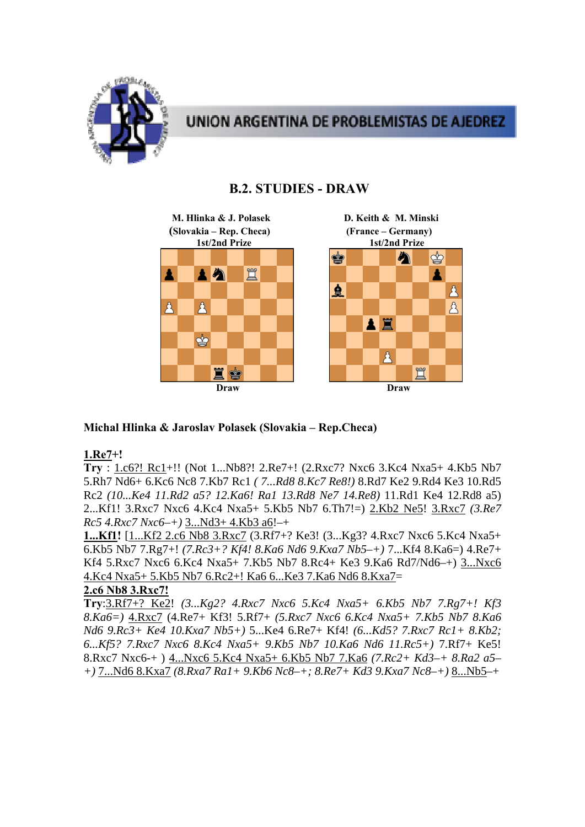

# **UNION ARGENTINA DE PROBLEMISTAS DE AJEDREZ**

# **B.2. STUDIES - DRAW**



# **Michal Hlinka & Jaroslav Polasek (Slovakia – Rep.Checa)**

### **1.Re7+!**

**Try** : 1.c6?! Rc1+!! (Not 1...Nb8?! 2.Re7+! (2.Rxc7? Nxc6 3.Kc4 Nxa5+ 4.Kb5 Nb7 5.Rh7 Nd6+ 6.Kc6 Nc8 7.Kb7 Rc1 *( 7...Rd8 8.Kc7 Re8!)* 8.Rd7 Ke2 9.Rd4 Ke3 10.Rd5 Rc2 *(10...Ke4 11.Rd2 a5? 12.Ka6! Ra1 13.Rd8 Ne7 14.Re8)* 11.Rd1 Ke4 12.Rd8 a5) 2...Kf1! 3.Rxc7 Nxc6 4.Kc4 Nxa5+ 5.Kb5 Nb7 6.Th7!=) 2.Kb2 Ne5! 3.Rxc7 *(3.Re7 Rc5 4.Rxc7 Nxc6–+)* 3...Nd3+ 4.Kb3 a6!–+

**1...Kf1!** [1...Kf2 2.c6 Nb8 3.Rxc7 (3.Rf7+? Ke3! (3...Kg3? 4.Rxc7 Nxc6 5.Kc4 Nxa5+ 6.Kb5 Nb7 7.Rg7+! *(7.Rc3+? Kf4! 8.Ka6 Nd6 9.Kxa7 Nb5–+)* 7...Kf4 8.Ka6=) 4.Re7+ Kf4 5.Rxc7 Nxc6 6.Kc4 Nxa5+ 7.Kb5 Nb7 8.Rc4+ Ke3 9.Ka6 Rd7/Nd6–+) 3...Nxc6 4.Kc4 Nxa5+ 5.Kb5 Nb7 6.Rc2+! Ka6 6...Ke3 7.Ka6 Nd6 8.Kxa7=

# **2.c6 Nb8 3.Rxc7!**

**Try**:3.Rf7+? Ke2! *(3...Kg2? 4.Rxc7 Nxc6 5.Kc4 Nxa5+ 6.Kb5 Nb7 7.Rg7+! Kf3 8.Ka6=)* 4.Rxc7 (4.Re7+ Kf3! 5.Rf7+ *(5.Rxc7 Nxc6 6.Kc4 Nxa5+ 7.Kb5 Nb7 8.Ka6 Nd6 9.Rc3+ Ke4 10.Kxa7 Nb5+)* 5...Ke4 6.Re7+ Kf4! *(6...Kd5? 7.Rxc7 Rc1+ 8.Kb2; 6...Kf5? 7.Rxc7 Nxc6 8.Kc4 Nxa5+ 9.Kb5 Nb7 10.Ka6 Nd6 11.Rc5+)* 7.Rf7+ Ke5! 8.Rxc7 Nxc6-+ ) 4...Nxc6 5.Kc4 Nxa5+ 6.Kb5 Nb7 7.Ka6 *(7.Rc2+ Kd3–+ 8.Ra2 a5– +)* 7...Nd6 8.Kxa7 *(8.Rxa7 Ra1+ 9.Kb6 Nc8–+; 8.Re7+ Kd3 9.Kxa7 Nc8–+)* 8...Nb5–+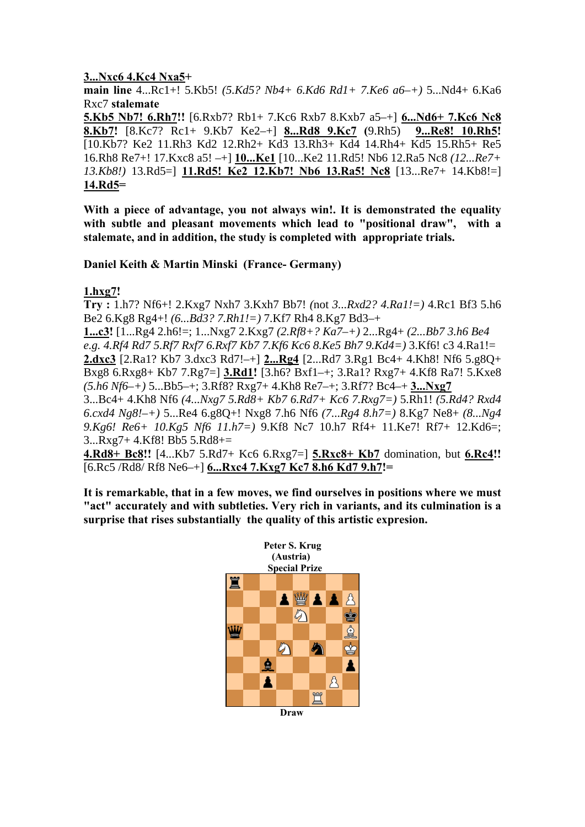### **3...Nxc6 4.Kc4 Nxa5+**

**main line** 4...Rc1+! 5.Kb5! *(5.Kd5? Nb4+ 6.Kd6 Rd1+ 7.Ke6 a6–+)* 5...Nd4+ 6.Ka6 Rxc7 **stalemate** 

**5.Kb5 Nb7! 6.Rh7!!** [6.Rxb7? Rb1+ 7.Kc6 Rxb7 8.Kxb7 a5–+] **6...Nd6+ 7.Kc6 Nc8 8.Kb7!** [8.Kc7? Rc1+ 9.Kb7 Ke2–+] **8...Rd8 9.Kc7 (**9.Rh5) **9...Re8! 10.Rh5!**  [10.Kb7? Ke2 11.Rh3 Kd2 12.Rh2+ Kd3 13.Rh3+ Kd4 14.Rh4+ Kd5 15.Rh5+ Re5 16.Rh8 Re7+! 17.Kxc8 a5! –+] **10...Ke1** [10...Ke2 11.Rd5! Nb6 12.Ra5 Nc8 *(12...Re7+ 13.Kb8!)* 13.Rd5=] **11.Rd5! Ke2 12.Kb7! Nb6 13.Ra5! Nc8** [13...Re7+ 14.Kb8!=] **14.Rd5=** 

**With a piece of advantage, you not always win!. It is demonstrated the equality with subtle and pleasant movements which lead to "positional draw", with a stalemate, and in addition, the study is completed with appropriate trials.** 

**Daniel Keith & Martin Minski (France- Germany)** 

**1.hxg7!** 

**Try :** 1.h7? Nf6+! 2.Kxg7 Nxh7 3.Kxh7 Bb7! *(*not *3...Rxd2? 4.Ra1!=)* 4.Rc1 Bf3 5.h6 Be2 6.Kg8 Rg4+! *(6...Bd3? 7.Rh1!=)* 7.Kf7 Rh4 8.Kg7 Bd3–+

**1...c3!** [1...Rg4 2.h6!=; 1...Nxg7 2.Kxg7 *(2.Rf8+? Ka7–+)* 2...Rg4+ *(2...Bb7 3.h6 Be4 e.g. 4.Rf4 Rd7 5.Rf7 Rxf7 6.Rxf7 Kb7 7.Kf6 Kc6 8.Ke5 Bh7 9.Kd4=)* 3.Kf6! c3 4.Ra1!= **2.dxc3** [2.Ra1? Kb7 3.dxc3 Rd7!–+] **2...Rg4** [2...Rd7 3.Rg1 Bc4+ 4.Kh8! Nf6 5.g8Q+ Bxg8 6.Rxg8+ Kb7 7.Rg7=] **3.Rd1!** [3.h6? Bxf1–+; 3.Ra1? Rxg7+ 4.Kf8 Ra7! 5.Kxe8 *(5.h6 Nf6–+)* 5...Bb5–+; 3.Rf8? Rxg7+ 4.Kh8 Re7–+; 3.Rf7? Bc4–+ **3...Nxg7** 

3...Bc4+ 4.Kh8 Nf6 *(4...Nxg7 5.Rd8+ Kb7 6.Rd7+ Kc6 7.Rxg7=)* 5.Rh1! *(5.Rd4? Rxd4 6.cxd4 Ng8!–+)* 5...Re4 6.g8Q+! Nxg8 7.h6 Nf6 *(7...Rg4 8.h7=)* 8.Kg7 Ne8+ *(8...Ng4 9.Kg6! Re6+ 10.Kg5 Nf6 11.h7=)* 9.Kf8 Nc7 10.h7 Rf4+ 11.Ke7! Rf7+ 12.Kd6=; 3...Rxg7+ 4.Kf8! Bb5 5.Rd8+=

**4.Rd8+ Bc8!!** [4...Kb7 5.Rd7+ Kc6 6.Rxg7=] **5.Rxc8+ Kb7** domination, but **6.Rc4!!**  [6.Rc5 /Rd8/ Rf8 Ne6–+] **6...Rxc4 7.Kxg7 Kc7 8.h6 Kd7 9.h7!=** 

**It is remarkable, that in a few moves, we find ourselves in positions where we must "act" accurately and with subtleties. Very rich in variants, and its culmination is a surprise that rises substantially the quality of this artistic expresion.** 

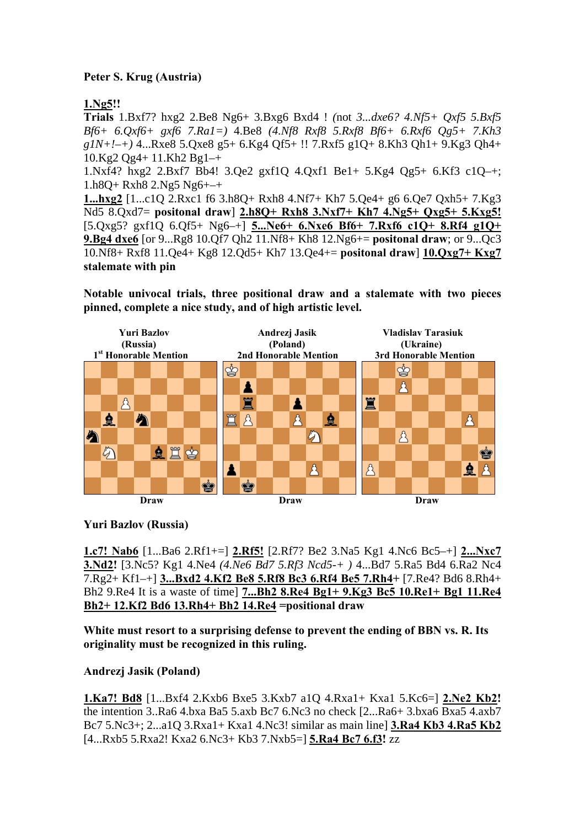# **Peter S. Krug (Austria)**

# **1.Ng5!!**

**Trials** 1.Bxf7? hxg2 2.Be8 Ng6+ 3.Bxg6 Bxd4 ! *(*not *3...dxe6? 4.Nf5+ Qxf5 5.Bxf5 Bf6+ 6.Qxf6+ gxf6 7.Ra1=)* 4.Be8 *(4.Nf8 Rxf8 5.Rxf8 Bf6+ 6.Rxf6 Qg5+ 7.Kh3 g1N+!–+)* 4...Rxe8 5.Qxe8 g5+ 6.Kg4 Qf5+ !! 7.Rxf5 g1Q+ 8.Kh3 Qh1+ 9.Kg3 Qh4+ 10.Kg2 Qg4+ 11.Kh2 Bg1–+

1.Nxf4? hxg2 2.Bxf7 Bb4! 3.Qe2 gxf1Q 4.Qxf1 Be1+ 5.Kg4 Qg5+ 6.Kf3 c1Q–+; 1.h8Q+ Rxh8 2.Ng5 Ng6+–+

**1...hxg2** [1...c1Q 2.Rxc1 f6 3.h8Q+ Rxh8 4.Nf7+ Kh7 5.Qe4+ g6 6.Qe7 Qxh5+ 7.Kg3 Nd5 8.Qxd7= **positonal draw**] **2.h8Q+ Rxh8 3.Nxf7+ Kh7 4.Ng5+ Qxg5+ 5.Kxg5!** [5.Qxg5? gxf1Q 6.Qf5+ Ng6–+] **5...Ne6+ 6.Nxe6 Bf6+ 7.Rxf6 c1Q+ 8.Rf4 g1Q+ 9.Bg4 dxe6** [or 9...Rg8 10.Qf7 Qh2 11.Nf8+ Kh8 12.Ng6+= **positonal draw**; or 9...Qc3 10.Nf8+ Rxf8 11.Qe4+ Kg8 12.Qd5+ Kh7 13.Qe4+= **positonal draw**] **10.Qxg7+ Kxg7 stalemate with pin** 

**Notable univocal trials, three positional draw and a stalemate with two pieces pinned, complete a nice study, and of high artistic level.** 



**Yuri Bazlov (Russia)** 

**1.c7! Nab6** [1...Ba6 2.Rf1+=] **2.Rf5!** [2.Rf7? Be2 3.Na5 Kg1 4.Nc6 Bc5–+] **2...Nxc7 3.Nd2!** [3.Nc5? Kg1 4.Ne4 *(4.Ne6 Bd7 5.Rf3 Ncd5-+ )* 4...Bd7 5.Ra5 Bd4 6.Ra2 Nc4 7.Rg2+ Kf1–+] **3...Bxd2 4.Kf2 Be8 5.Rf8 Bc3 6.Rf4 Be5 7.Rh4+** [7.Re4? Bd6 8.Rh4+ Bh2 9.Re4 It is a waste of time] **7...Bh2 8.Re4 Bg1+ 9.Kg3 Bc5 10.Re1+ Bg1 11.Re4 Bh2+ 12.Kf2 Bd6 13.Rh4+ Bh2 14.Re4 =positional draw** 

**White must resort to a surprising defense to prevent the ending of BBN vs. R. Its originality must be recognized in this ruling.** 

# **Andrezj Jasik (Poland)**

**1.Ka7! Bd8** [1...Bxf4 2.Kxb6 Bxe5 3.Kxb7 a1Q 4.Rxa1+ Kxa1 5.Kc6=] **2.Ne2 Kb2!**  the intention 3..Ra6 4.bxa Ba5 5.axb Bc7 6.Nc3 no check [2...Ra6+ 3.bxa6 Bxa5 4.axb7 Bc7 5.Nc3+; 2...a1Q 3.Rxa1+ Kxa1 4.Nc3! similar as main line] **3.Ra4 Kb3 4.Ra5 Kb2** [4...Rxb5 5.Rxa2! Kxa2 6.Nc3+ Kb3 7.Nxb5=] **5.Ra4 Bc7 6.f3!** zz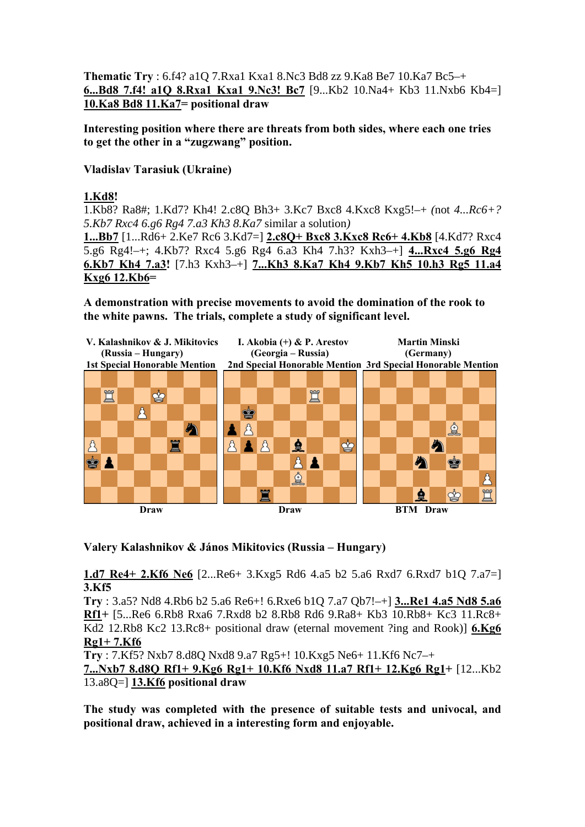**Thematic Try** : 6.f4? a1Q 7.Rxa1 Kxa1 8.Nc3 Bd8 zz 9.Ka8 Be7 10.Ka7 Bc5–+ **6...Bd8 7.f4! a1Q 8.Rxa1 Kxa1 9.Nc3! Bc7** [9...Kb2 10.Na4+ Kb3 11.Nxb6 Kb4=] **10.Ka8 Bd8 11.Ka7= positional draw** 

**Interesting position where there are threats from both sides, where each one tries to get the other in a "zugzwang" position.** 

**Vladislav Tarasiuk (Ukraine)** 

### **1.Kd8!**

1.Kb8? Ra8#; 1.Kd7? Kh4! 2.c8Q Bh3+ 3.Kc7 Bxc8 4.Kxc8 Kxg5!–+ *(*not *4...Rc6+? 5.Kb7 Rxc4 6.g6 Rg4 7.a3 Kh3 8.Ka7* similar a solution*)* 

**1...Bb7** [1...Rd6+ 2.Ke7 Rc6 3.Kd7=] **2.c8Q+ Bxc8 3.Kxc8 Rc6+ 4.Kb8** [4.Kd7? Rxc4 5.g6 Rg4!–+; 4.Kb7? Rxc4 5.g6 Rg4 6.a3 Kh4 7.h3? Kxh3–+] **4...Rxc4 5.g6 Rg4 6.Kb7 Kh4 7.a3!** [7.h3 Kxh3–+] **7...Kh3 8.Ka7 Kh4 9.Kb7 Kh5 10.h3 Rg5 11.a4 Kxg6 12.Kb6=** 

**A demonstration with precise movements to avoid the domination of the rook to the white pawns. The trials, complete a study of significant level.** 



# **Valery Kalashnikov & János Mikitovics (Russia – Hungary)**

**1.d7 Re4+ 2.Kf6 Ne6** [2...Re6+ 3.Kxg5 Rd6 4.a5 b2 5.a6 Rxd7 6.Rxd7 b1Q 7.a7=] **3.Kf5** 

**Try** : 3.a5? Nd8 4.Rb6 b2 5.a6 Re6+! 6.Rxe6 b1Q 7.a7 Qb7!–+] **3...Re1 4.a5 Nd8 5.a6 Rf1+** [5...Re6 6.Rb8 Rxa6 7.Rxd8 b2 8.Rb8 Rd6 9.Ra8+ Kb3 10.Rb8+ Kc3 11.Rc8+ Kd2 12.Rb8 Kc2 13.Rc8+ positional draw (eternal movement ?ing and Rook)] **6.Kg6 Rg1+ 7.Kf6** 

**Try** : 7.Kf5? Nxb7 8.d8Q Nxd8 9.a7 Rg5+! 10.Kxg5 Ne6+ 11.Kf6 Nc7–+

**7...Nxb7 8.d8Q Rf1+ 9.Kg6 Rg1+ 10.Kf6 Nxd8 11.a7 Rf1+ 12.Kg6 Rg1+** [12...Kb2 13.a8Q=] **13.Kf6 positional draw** 

**The study was completed with the presence of suitable tests and univocal, and positional draw, achieved in a interesting form and enjoyable.**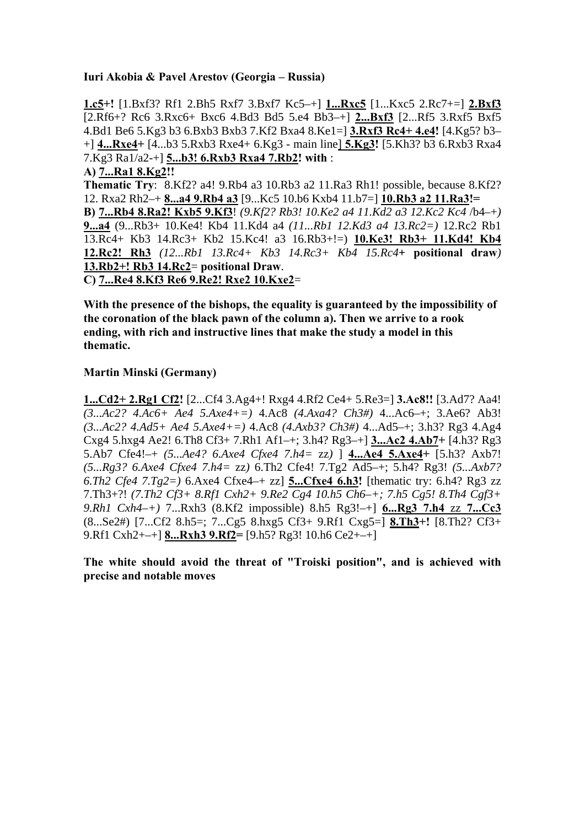### **Iuri Akobia & Pavel Arestov (Georgia – Russia)**

**1.c5+!** [1.Bxf3? Rf1 2.Bh5 Rxf7 3.Bxf7 Kc5–+] **1...Rxc5** [1...Kxc5 2.Rc7+=] **2.Bxf3** [2.Rf6+? Rc6 3.Rxc6+ Bxc6 4.Bd3 Bd5 5.e4 Bb3–+] **2...Bxf3** [2...Rf5 3.Rxf5 Bxf5 4.Bd1 Be6 5.Kg3 b3 6.Bxb3 Bxb3 7.Kf2 Bxa4 8.Ke1=] **3.Rxf3 Rc4+ 4.e4!** [4.Kg5? b3– +] **4...Rxe4+** [4...b3 5.Rxb3 Rxe4+ 6.Kg3 - main line] **5.Kg3!** [5.Kh3? b3 6.Rxb3 Rxa4 7.Kg3 Ra1/a2-+] **5...b3! 6.Rxb3 Rxa4 7.Rb2! with** : **A) 7...Ra1 8.Kg2!! Thematic Try**: 8.Kf2? a4! 9.Rb4 a3 10.Rb3 a2 11.Ra3 Rh1! possible, because 8.Kf2? 12. Rxa2 Rh2–+ **8...a4 9.Rb4 a3** [9...Kc5 10.b6 Kxb4 11.b7=] **10.Rb3 a2 11.Ra3!= B) 7...Rb4 8.Ra2! Kxb5 9.Kf3**! *(9.Kf2? Rb3! 10.Ke2 a4 11.Kd2 a3 12.Kc2 Kc4* /b4–+*)* 

**9...a4** (9...Rb3+ 10.Ke4! Kb4 11.Kd4 a4 *(11...Rb1 12.Kd3 a4 13.Rc2=)* 12.Rc2 Rb1 13.Rc4+ Kb3 14.Rc3+ Kb2 15.Kc4! a3 16.Rb3+!=) **10.Ke3! Rb3+ 11.Kd4! Kb4 12.Rc2! Rh3** *(12...Rb1 13.Rc4+ Kb3 14.Rc3+ Kb4 15.Rc4+* **positional draw***)*  **13.Rb2+! Rb3 14.Rc2**= **positional Draw**.

**C) 7...Re4 8.Kf3 Re6 9.Re2! Rxe2 10.Kxe2**=

**With the presence of the bishops, the equality is guaranteed by the impossibility of the coronation of the black pawn of the column a). Then we arrive to a rook ending, with rich and instructive lines that make the study a model in this thematic.** 

### **Martin Minski (Germany)**

**1...Cd2+ 2.Rg1 Cf2!** [2...Cf4 3.Ag4+! Rxg4 4.Rf2 Ce4+ 5.Re3=] **3.Ac8!!** [3.Ad7? Aa4! *(3...Ac2? 4.Ac6+ Ae4 5.Axe4+=)* 4.Ac8 *(4.Axa4? Ch3#)* 4...Ac6–+; 3.Ae6? Ab3! *(3...Ac2? 4.Ad5+ Ae4 5.Axe4+=)* 4.Ac8 *(4.Axb3? Ch3#)* 4...Ad5–+; 3.h3? Rg3 4.Ag4 Cxg4 5.hxg4 Ae2! 6.Th8 Cf3+ 7.Rh1 Af1–+; 3.h4? Rg3–+] **3...Ac2 4.Ab7+** [4.h3? Rg3 5.Ab7 Cfe4!–+ *(5...Ae4? 6.Axe4 Cfxe4 7.h4=* zz*)* ] **4...Ae4 5.Axe4+** [5.h3? Axb7! *(5...Rg3? 6.Axe4 Cfxe4 7.h4=* zz*)* 6.Th2 Cfe4! 7.Tg2 Ad5–+; 5.h4? Rg3! *(5...Axb7? 6.Th2 Cfe4 7.Tg2=)* 6.Axe4 Cfxe4–+ zz] **5...Cfxe4 6.h3!** [thematic try: 6.h4? Rg3 zz 7.Th3+?! *(7.Th2 Cf3+ 8.Rf1 Cxh2+ 9.Re2 Cg4 10.h5 Ch6–+; 7.h5 Cg5! 8.Th4 Cgf3+ 9.Rh1 Cxh4–+)* 7...Rxh3 (8.Kf2 impossible) 8.h5 Rg3!–+] **6...Rg3 7.h4** zz **7...Cc3** (8...Se2#) [7...Cf2 8.h5=; 7...Cg5 8.hxg5 Cf3+ 9.Rf1 Cxg5=] **8.Th3+!** [8.Th2? Cf3+ 9.Rf1 Cxh2+–+] **8...Rxh3 9.Rf2=** [9.h5? Rg3! 10.h6 Ce2+–+]

**The white should avoid the threat of "Troiski position", and is achieved with precise and notable moves**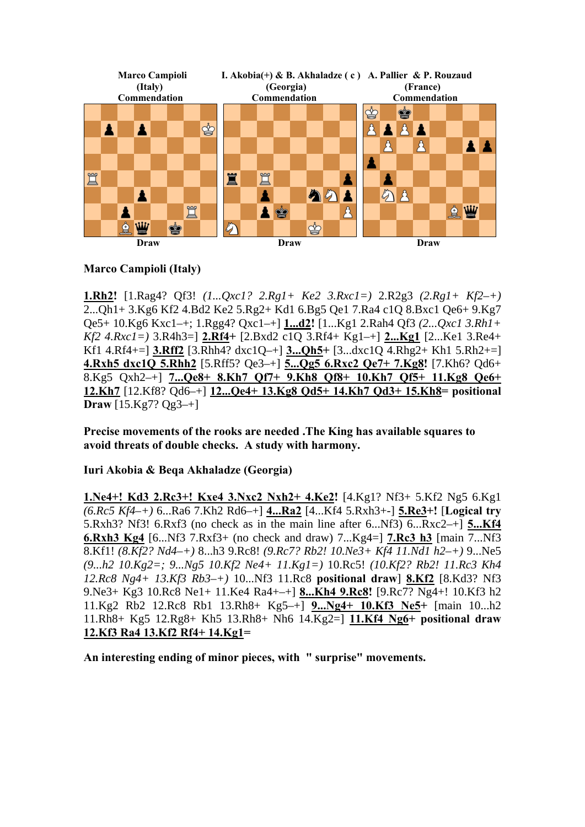

### **Marco Campioli (Italy)**

**1.Rh2!** [1.Rag4? Qf3! *(1...Qxc1? 2.Rg1+ Ke2 3.Rxc1=)* 2.R2g3 *(2.Rg1+ Kf2–+)*  2...Qh1+ 3.Kg6 Kf2 4.Bd2 Ke2 5.Rg2+ Kd1 6.Bg5 Qe1 7.Ra4 c1Q 8.Bxc1 Qe6+ 9.Kg7 Qe5+ 10.Kg6 Kxc1–+; 1.Rgg4? Qxc1–+] **1...d2!** [1...Kg1 2.Rah4 Qf3 *(2...Qxc1 3.Rh1+ Kf2 4.Rxc1=)* 3.R4h3=] **2.Rf4+** [2.Bxd2 c1Q 3.Rf4+ Kg1–+] **2...Kg1** [2...Ke1 3.Re4+ Kf1 4.Rf4+=] **3.Rff2** [3.Rhh4? dxc1Q–+] **3...Qh5+** [3...dxc1Q 4.Rhg2+ Kh1 5.Rh2+=] **4.Rxh5 dxc1Q 5.Rhh2** [5.Rff5? Qe3–+] **5...Qg5 6.Rxc2 Qe7+ 7.Kg8!** [7.Kh6? Qd6+ 8.Kg5 Qxh2–+] **7...Qe8+ 8.Kh7 Qf7+ 9.Kh8 Qf8+ 10.Kh7 Qf5+ 11.Kg8 Qe6+ 12.Kh7** [12.Kf8? Qd6–+] **12...Qe4+ 13.Kg8 Qd5+ 14.Kh7 Qd3+ 15.Kh8= positional Draw** [15.Kg7? Qg3–+]

**Precise movements of the rooks are needed .The King has available squares to avoid threats of double checks. A study with harmony.** 

**Iuri Akobia & Beqa Akhaladze (Georgia)** 

**1.Ne4+! Kd3 2.Rc3+! Kxe4 3.Nxc2 Nxh2+ 4.Ke2!** [4.Kg1? Nf3+ 5.Kf2 Ng5 6.Kg1 *(6.Rc5 Kf4–+)* 6...Ra6 7.Kh2 Rd6–+] **4...Ra2** [4...Kf4 5.Rxh3+-] **5.Re3+!** [**Logical try** 5.Rxh3? Nf3! 6.Rxf3 (no check as in the main line after 6...Nf3) 6...Rxc2–+] **5...Kf4 6.Rxh3 Kg4** [6...Nf3 7.Rxf3+ (no check and draw) 7...Kg4=] **7.Rc3 h3** [main 7...Nf3 8.Kf1! *(8.Kf2? Nd4–+)* 8...h3 9.Rc8! *(9.Rc7? Rb2! 10.Ne3+ Kf4 11.Nd1 h2–+)* 9...Ne5 *(9...h2 10.Kg2=; 9...Ng5 10.Kf2 Ne4+ 11.Kg1=)* 10.Rc5! *(10.Kf2? Rb2! 11.Rc3 Kh4 12.Rc8 Ng4+ 13.Kf3 Rb3–+)* 10...Nf3 11.Rc8 **positional draw**] **8.Kf2** [8.Kd3? Nf3 9.Ne3+ Kg3 10.Rc8 Ne1+ 11.Ke4 Ra4+–+] **8...Kh4 9.Rc8!** [9.Rc7? Ng4+! 10.Kf3 h2 11.Kg2 Rb2 12.Rc8 Rb1 13.Rh8+ Kg5–+] **9...Ng4+ 10.Kf3 Ne5+** [main 10...h2 11.Rh8+ Kg5 12.Rg8+ Kh5 13.Rh8+ Nh6 14.Kg2=] **11.Kf4 Ng6+ positional draw 12.Kf3 Ra4 13.Kf2 Rf4+ 14.Kg1=** 

**An interesting ending of minor pieces, with " surprise" movements.**